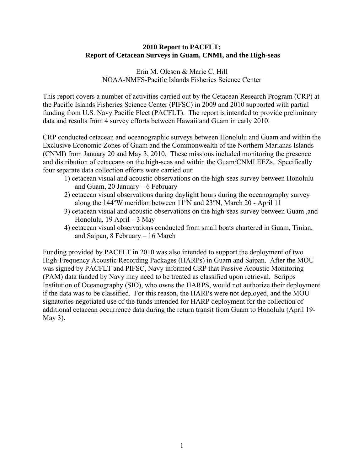### **2010 Report to PACFLT: Report of Cetacean Surveys in Guam, CNMI, and the High-seas**

Erin M. Oleson & Marie C. Hill NOAA-NMFS-Pacific Islands Fisheries Science Center

This report covers a number of activities carried out by the Cetacean Research Program (CRP) at the Pacific Islands Fisheries Science Center (PIFSC) in 2009 and 2010 supported with partial funding from U.S. Navy Pacific Fleet (PACFLT). The report is intended to provide preliminary data and results from 4 survey efforts between Hawaii and Guam in early 2010.

CRP conducted cetacean and oceanographic surveys between Honolulu and Guam and within the Exclusive Economic Zones of Guam and the Commonwealth of the Northern Marianas Islands (CNMI) from January 20 and May 3, 2010. These missions included monitoring the presence and distribution of cetaceans on the high-seas and within the Guam/CNMI EEZs. Specifically four separate data collection efforts were carried out:

- 1) cetacean visual and acoustic observations on the high-seas survey between Honolulu and Guam, 20 January – 6 February
- 2) cetacean visual observations during daylight hours during the oceanography survey along the  $144^{\circ}$ W meridian between  $11^{\circ}$ N and  $23^{\circ}$ N, March 20 - April 11
- 3) cetacean visual and acoustic observations on the high-seas survey between Guam ,and Honolulu, 19 April – 3 May
- 4) cetacean visual observations conducted from small boats chartered in Guam, Tinian, and Saipan, 8 February – 16 March

Funding provided by PACFLT in 2010 was also intended to support the deployment of two High-Frequency Acoustic Recording Packages (HARPs) in Guam and Saipan. After the MOU was signed by PACFLT and PIFSC, Navy informed CRP that Passive Acoustic Monitoring (PAM) data funded by Navy may need to be treated as classified upon retrieval. Scripps Institution of Oceanography (SIO), who owns the HARPS, would not authorize their deployment if the data was to be classified. For this reason, the HARPs were not deployed, and the MOU signatories negotiated use of the funds intended for HARP deployment for the collection of additional cetacean occurrence data during the return transit from Guam to Honolulu (April 19- May 3).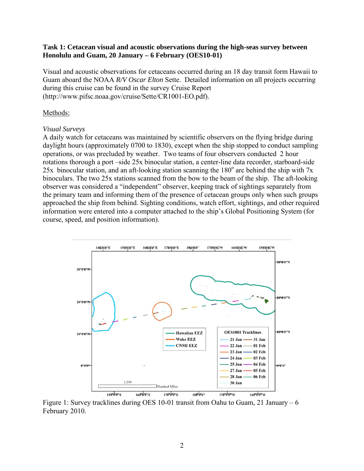### **Task 1: Cetacean visual and acoustic observations during the high-seas survey between Honolulu and Guam, 20 January – 6 February (OES10-01)**

Visual and acoustic observations for cetaceans occurred during an 18 day transit form Hawaii to Guam aboard the NOAA *R/V Oscar Elton* Sette. Detailed information on all projects occurring during this cruise can be found in the survey Cruise Report (http://www.pifsc.noaa.gov/cruise/Sette/CR1001-EO.pdf).

### Methods:

#### *Visual Surveys*

A daily watch for cetaceans was maintained by scientific observers on the flying bridge during daylight hours (approximately 0700 to 1830), except when the ship stopped to conduct sampling operations, or was precluded by weather. Two teams of four observers conducted 2 hour rotations thorough a port –side 25x binocular station, a center-line data recorder, starboard-side 25x binocular station, and an aft-looking station scanning the  $180^\circ$  arc behind the ship with 7x binoculars. The two 25x stations scanned from the bow to the beam of the ship. The aft-looking observer was considered a "independent" observer, keeping track of sightings separately from the primary team and informing them of the presence of cetacean groups only when such groups approached the ship from behind. Sighting conditions, watch effort, sightings, and other required information were entered into a computer attached to the ship's Global Positioning System (for course, speed, and position information).



Figure 1: Survey tracklines during OES 10-01 transit from Oahu to Guam, 21 January – 6 February 2010.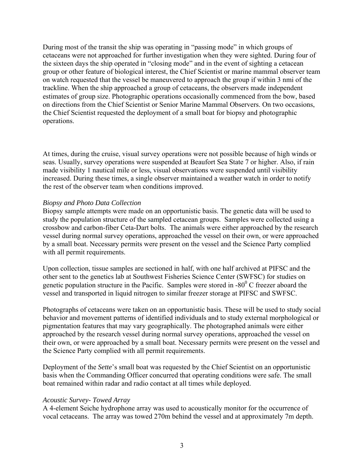During most of the transit the ship was operating in "passing mode" in which groups of cetaceans were not approached for further investigation when they were sighted. During four of the sixteen days the ship operated in "closing mode" and in the event of sighting a cetacean group or other feature of biological interest, the Chief Scientist or marine mammal observer team on watch requested that the vessel be maneuvered to approach the group if within 3 nmi of the trackline. When the ship approached a group of cetaceans, the observers made independent estimates of group size. Photographic operations occasionally commenced from the bow, based on directions from the Chief Scientist or Senior Marine Mammal Observers. On two occasions, the Chief Scientist requested the deployment of a small boat for biopsy and photographic operations.

At times, during the cruise, visual survey operations were not possible because of high winds or seas. Usually, survey operations were suspended at Beaufort Sea State 7 or higher. Also, if rain made visibility 1 nautical mile or less, visual observations were suspended until visibility increased. During these times, a single observer maintained a weather watch in order to notify the rest of the observer team when conditions improved.

### *Biopsy and Photo Data Collection*

Biopsy sample attempts were made on an opportunistic basis. The genetic data will be used to study the population structure of the sampled cetacean groups. Samples were collected using a crossbow and carbon-fiber Ceta-Dart bolts. The animals were either approached by the research vessel during normal survey operations, approached the vessel on their own, or were approached by a small boat. Necessary permits were present on the vessel and the Science Party complied with all permit requirements.

Upon collection, tissue samples are sectioned in half, with one half archived at PIFSC and the other sent to the genetics lab at Southwest Fisheries Science Center (SWFSC) for studies on genetic population structure in the Pacific. Samples were stored in  $-80^{\circ}$  C freezer aboard the vessel and transported in liquid nitrogen to similar freezer storage at PIFSC and SWFSC.

Photographs of cetaceans were taken on an opportunistic basis. These will be used to study social behavior and movement patterns of identified individuals and to study external morphological or pigmentation features that may vary geographically. The photographed animals were either approached by the research vessel during normal survey operations, approached the vessel on their own, or were approached by a small boat. Necessary permits were present on the vessel and the Science Party complied with all permit requirements.

Deployment of the *Sette*'s small boat was requested by the Chief Scientist on an opportunistic basis when the Commanding Officer concurred that operating conditions were safe. The small boat remained within radar and radio contact at all times while deployed.

# *Acoustic Survey- Towed Array*

A 4-element Seiche hydrophone array was used to acoustically monitor for the occurrence of vocal cetaceans. The array was towed 270m behind the vessel and at approximately 7m depth.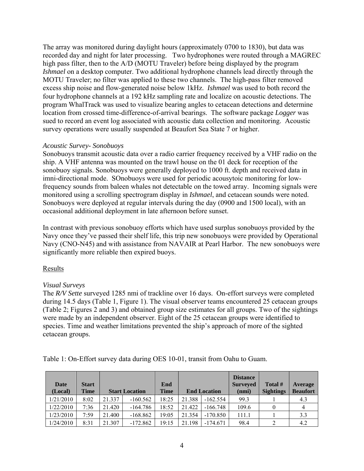The array was monitored during daylight hours (approximately 0700 to 1830), but data was recorded day and night for later processing. Two hydrophones were routed through a MAGREC high pass filter, then to the A/D (MOTU Traveler) before being displayed by the program *Ishmael* on a desktop computer. Two additional hydrophone channels lead directly through the MOTU Traveler; no filter was applied to these two channels. The high-pass filter removed excess ship noise and flow-generated noise below 1kHz. *Ishmael* was used to both record the four hydrophone channels at a 192 kHz sampling rate and localize on acoustic detections. The program WhalTrack was used to visualize bearing angles to cetacean detections and determine location from crossed time-difference-of-arrival bearings. The software package *Logger* was sued to record an event log associated with acoustic data collection and monitoring. Acoustic survey operations were usually suspended at Beaufort Sea State 7 or higher.

## *Acoustic Survey- Sonobuoys*

Sonobuoys transmit acoustic data over a radio carrier frequency received by a VHF radio on the ship. A VHF antenna was mounted on the trawl house on the 01 deck for reception of the sonobuoy signals. Sonobuoys were generally deployed to 1000 ft. depth and received data in imni-directional mode. SOnobuoys were used for periodic acousytoic monitoring for lowfrequency sounds from baleen whales not detectable on the towed array. Incoming signals were monitored using a scrolling spectrogram display in *Ishmael*, and cetacean sounds were noted. Sonobuoys were deployed at regular intervals during the day (0900 and 1500 local), with an occasional additional deployment in late afternoon before sunset.

In contrast with previous sonobuoy efforts which have used surplus sonobuoys provided by the Navy once they've passed their shelf life, this trip new sonobuoys were provided by Operational Navy (CNO-N45) and with assistance from NAVAIR at Pearl Harbor. The new sonobuoys were significantly more reliable then expired buoys.

# Results

# *Visual Surveys*

The *R/V Sette* surveyed 1285 nmi of trackline over 16 days. On-effort surveys were completed during 14.5 days (Table 1, Figure 1). The visual observer teams encountered 25 cetacean groups (Table 2; Figures 2 and 3) and obtained group size estimates for all groups. Two of the sightings were made by an independent observer. Eight of the 25 cetacean groups were identified to species. Time and weather limitations prevented the ship's approach of more of the sighted cetacean groups.

| Date<br>(Local) | <b>Start</b><br><b>Time</b> |        | <b>Start Location</b> | End<br><b>Time</b> |        | <b>End Location</b> | <b>Distance</b><br><b>Surveyed</b><br>(nmi) | Total #<br><b>Sightings</b> | Average<br><b>Beaufort</b> |
|-----------------|-----------------------------|--------|-----------------------|--------------------|--------|---------------------|---------------------------------------------|-----------------------------|----------------------------|
| 1/21/2010       | 8:02                        | 21.337 | $-160.562$            | 18:25              | 21.388 | $-162.554$          | 99.3                                        |                             | 4.3                        |
| 1/22/2010       | 7:36                        | 21.420 | $-164.786$            | 18:52              | 21.422 | $-166.748$          | 109.6                                       |                             | 4                          |
| 1/23/2010       | 7:59                        | 21.400 | $-168.862$            | 19:05              | 21.354 | $-170.850$          | 111.1                                       |                             | 3.3                        |
| 1/24/2010       | 8:31                        | 21.307 | $-172.862$            | 19:15              | 21.198 | $-174.671$          | 98.4                                        | າ                           | 4.2                        |

Table 1: On-Effort survey data during OES 10-01, transit from Oahu to Guam.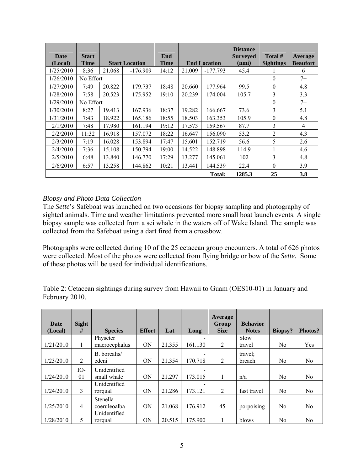| <b>Date</b><br>(Local) | <b>Start</b><br><b>Time</b> |        | <b>Start Location</b> | End<br><b>Time</b> |        | <b>End Location</b> | <b>Distance</b><br><b>Surveyed</b><br>(nmi) | Total #<br><b>Sightings</b> | Average<br><b>Beaufort</b> |
|------------------------|-----------------------------|--------|-----------------------|--------------------|--------|---------------------|---------------------------------------------|-----------------------------|----------------------------|
| 1/25/2010              | 8:36                        | 21.068 | $-176.909$            | 14:12              | 21.009 | $-177.793$          | 45.4                                        |                             | 6                          |
| 1/26/2010              | No Effort                   |        |                       |                    |        |                     |                                             | $\theta$                    | $7+$                       |
| 1/27/2010              | 7:49                        | 20.822 | 179.737               | 18:48              | 20.660 | 177.964             | 99.5                                        | $\theta$                    | 4.8                        |
| 1/28/2010              | 7:58                        | 20.523 | 175.952               | 19:10              | 20.239 | 174.004             | 105.7                                       | 3                           | 3.3                        |
| 1/29/2010              | No Effort                   |        |                       |                    |        |                     |                                             | $\Omega$                    | $7+$                       |
| 1/30/2010              | 8:27                        | 19.413 | 167.936               | 18:37              | 19.282 | 166.667             | 73.6                                        | 3                           | 5.1                        |
| 1/31/2010              | 7:43                        | 18.922 | 165.186               | 18:55              | 18.503 | 163.353             | 105.9                                       | $\theta$                    | 4.8                        |
| 2/1/2010               | 7:48                        | 17.980 | 161.194               | 19:12              | 17.573 | 159.567             | 87.7                                        | 3                           | 4                          |
| 2/2/2010               | 11:32                       | 16.918 | 157.072               | 18:22              | 16.647 | 156.090             | 53.2                                        | 2                           | 4.3                        |
| 2/3/2010               | 7:19                        | 16.028 | 153.894               | 17:47              | 15.601 | 152.719             | 56.6                                        | 5                           | 2.6                        |
| 2/4/2010               | 7:36                        | 15.108 | 150.794               | 19:00              | 14.522 | 148.898             | 114.9                                       |                             | 4.6                        |
| 2/5/2010               | 6:48                        | 13.840 | 146.770               | 17:29              | 13.277 | 145.061             | 102                                         | $\overline{3}$              | 4.8                        |
| 2/6/2010               | 6:57                        | 13.258 | 144.862               | 10:21              | 13.441 | 144.539             | 22.4                                        | $\Omega$                    | 3.9                        |
|                        |                             |        |                       |                    |        | Total:              | 1285.3                                      | 25                          | 3.8                        |

# *Biopsy and Photo Data Collection*

The *Sette*'s Safeboat was launched on two occasions for biopsy sampling and photography of sighted animals. Time and weather limitations prevented more small boat launch events. A single biopsy sample was collected from a sei whale in the waters off of Wake Island. The sample was collected from the Safeboat using a dart fired from a crossbow.

Photographs were collected during 10 of the 25 cetacean group encounters. A total of 626 photos were collected. Most of the photos were collected from flying bridge or bow of the *Sette*. Some of these photos will be used for individual identifications.

Table 2: Cetacean sightings during survey from Hawaii to Guam (OES10-01) in January and February 2010.

|                 |                   |                |               |        |         | <b>Average</b>       |                                 |                |                |
|-----------------|-------------------|----------------|---------------|--------|---------|----------------------|---------------------------------|----------------|----------------|
| Date<br>(Local) | <b>Sight</b><br># | <b>Species</b> | <b>Effort</b> | Lat    | Long    | Group<br><b>Size</b> | <b>Behavior</b><br><b>Notes</b> | Biopsy?        | Photos?        |
|                 |                   | Physeter       |               |        |         |                      | Slow                            |                |                |
| 1/21/2010       | 1                 | macrocephalus  | <b>ON</b>     | 21.355 | 161.130 | 2                    | travel                          | No.            | Yes            |
|                 |                   | B. borealis/   |               |        |         |                      | travel:                         |                |                |
| 1/23/2010       | 2                 | edeni          | <b>ON</b>     | 21.354 | 170.718 | 2                    | breach                          | No.            | N <sub>0</sub> |
|                 | IO-               | Unidentified   |               |        |         |                      |                                 |                |                |
| 1/24/2010       | 01                | small whale    | ON            | 21.297 | 173.015 |                      | n/a                             | N <sub>0</sub> | N <sub>0</sub> |
|                 |                   | Unidentified   |               |        |         |                      |                                 |                |                |
| 1/24/2010       | 3                 | rorqual        | ON            | 21.286 | 173.121 | 2                    | fast travel                     | No.            | N <sub>0</sub> |
|                 |                   | Stenella       |               |        |         |                      |                                 |                |                |
| 1/25/2010       | $\overline{4}$    | coeruleoalba   | ON            | 21.068 | 176.912 | 45                   | porpoising                      | N <sub>0</sub> | N <sub>0</sub> |
|                 |                   | Unidentified   |               |        |         |                      |                                 |                |                |
| 1/28/2010       | 5                 | rorqual        | <b>ON</b>     | 20.515 | 175.900 |                      | blows                           | No.            | N <sub>0</sub> |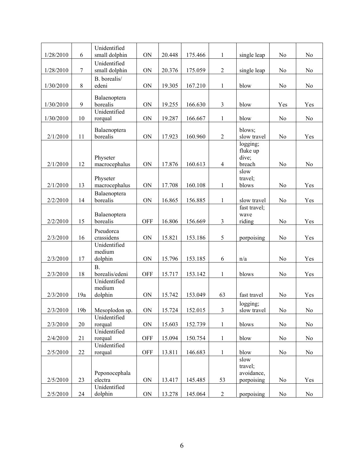| 1/28/2010 | 6               | Unidentified<br>small dolphin | ON          | 20.448 | 175.466 | $\mathbf{1}$   | single leap             | N <sub>0</sub> | N <sub>0</sub> |
|-----------|-----------------|-------------------------------|-------------|--------|---------|----------------|-------------------------|----------------|----------------|
|           |                 | Unidentified                  |             |        |         |                |                         |                |                |
| 1/28/2010 | $\tau$          | small dolphin                 | ON          | 20.376 | 175.059 | $\overline{c}$ | single leap             | N <sub>0</sub> | N <sub>0</sub> |
|           |                 | B. borealis/                  |             |        |         |                |                         |                |                |
| 1/30/2010 | 8               | edeni                         | ON          | 19.305 | 167.210 | $\mathbf{1}$   | blow                    | N <sub>0</sub> | N <sub>0</sub> |
|           |                 |                               |             |        |         |                |                         |                |                |
| 1/30/2010 | 9               | Balaenoptera<br>borealis      | ON          | 19.255 | 166.630 | $\mathfrak{Z}$ | blow                    | Yes            | Yes            |
|           |                 | Unidentified                  |             |        |         |                |                         |                |                |
| 1/30/2010 | 10              | rorqual                       | ON          | 19.287 | 166.667 | $\mathbf{1}$   | blow                    | N <sub>0</sub> | No             |
|           |                 |                               |             |        |         |                |                         |                |                |
|           |                 | Balaenoptera                  |             |        |         |                | blows;                  |                |                |
| 2/1/2010  | 11              | borealis                      | ON          | 17.923 | 160.960 | $\mathbf{2}$   | slow travel             | N <sub>o</sub> | Yes            |
|           |                 |                               |             |        |         |                | logging;<br>fluke up    |                |                |
|           |                 | Physeter                      |             |        |         |                | dive;                   |                |                |
| 2/1/2010  | 12              | macrocephalus                 | ON          | 17.876 | 160.613 | $\overline{4}$ | breach                  | N <sub>0</sub> | N <sub>0</sub> |
|           |                 |                               |             |        |         |                | slow                    |                |                |
|           |                 | Physeter                      |             |        |         |                | travel;                 |                |                |
| 2/1/2010  | 13              | macrocephalus                 | ON          | 17.708 | 160.108 | 1              | blows                   | N <sub>0</sub> | Yes            |
|           |                 | Balaenoptera                  |             |        |         |                |                         |                |                |
| 2/2/2010  | 14              | borealis                      | ON          | 16.865 | 156.885 | $\mathbf{1}$   | slow travel             | N <sub>0</sub> | Yes            |
|           |                 |                               |             |        |         |                | fast travel;            |                |                |
|           |                 | Balaenoptera                  |             |        |         |                | wave                    |                |                |
| 2/2/2010  | 15              | borealis                      | <b>OFF</b>  | 16.806 | 156.669 | 3              | riding                  | No             | Yes            |
|           |                 | Pseudorca                     |             |        |         |                |                         |                |                |
| 2/3/2010  | 16              | crassidens                    | ON          | 15.821 | 153.186 | 5              | porpoising              | N <sub>0</sub> | Yes            |
|           |                 | Unidentified                  |             |        |         |                |                         |                |                |
|           |                 | medium                        |             |        |         |                |                         |                |                |
| 2/3/2010  | 17              | dolphin                       | ON          | 15.796 | 153.185 | 6              | n/a                     | N <sub>0</sub> | Yes            |
|           |                 | B.                            |             |        |         |                |                         |                |                |
| 2/3/2010  | 18              | borealis/edeni                | <b>OFF</b>  | 15.717 | 153.142 | $\mathbf{1}$   | blows                   | N <sub>o</sub> | Yes            |
|           |                 | Unidentified<br>medium        |             |        |         |                |                         |                |                |
| 2/3/2010  | 19a             | dolphin                       | ON          | 15.742 | 153.049 | 63             | fast travel             | No             | Yes            |
|           |                 |                               |             |        |         |                |                         |                |                |
| 2/3/2010  | 19 <sub>b</sub> | Mesoplodon sp.                | ON          | 15.724 | 152.015 | 3              | logging;<br>slow travel | $\rm No$       | $\rm No$       |
|           |                 | Unidentified                  |             |        |         |                |                         |                |                |
| 2/3/2010  | 20              | rorqual                       | $\mbox{ON}$ | 15.603 | 152.739 | $\mathbf{1}$   | blows                   | No             | No             |
|           |                 | Unidentified                  |             |        |         |                |                         |                |                |
| 2/4/2010  | 21              | rorqual                       | <b>OFF</b>  | 15.094 | 150.754 | $\mathbf{1}$   | blow                    | N <sub>0</sub> | N <sub>0</sub> |
|           |                 | Unidentified                  |             |        |         |                |                         |                |                |
| 2/5/2010  | 22              | rorqual                       | <b>OFF</b>  | 13.811 | 146.683 | $\mathbf{1}$   | blow                    | No             | No             |
|           |                 |                               |             |        |         |                | slow                    |                |                |
|           |                 |                               |             |        |         |                | travel;                 |                |                |
|           |                 | Peponocephala                 |             |        |         |                | avoidance,              |                |                |
| 2/5/2010  | 23              | electra                       | ON          | 13.417 | 145.485 | 53             | porpoising              | No             | Yes            |
|           |                 | Unidentified                  |             |        |         |                |                         |                |                |
| 2/5/2010  | 24              | dolphin                       | $\mbox{ON}$ | 13.278 | 145.064 | $\overline{2}$ | porpoising              | No             | No             |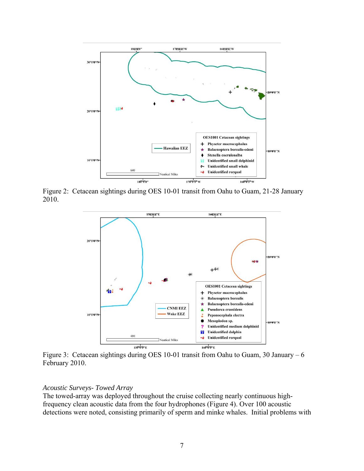

Figure 2: Cetacean sightings during OES 10-01 transit from Oahu to Guam, 21-28 January 2010.



Figure 3: Cetacean sightings during OES 10-01 transit from Oahu to Guam, 30 January – 6 February 2010.

#### *Acoustic Surveys- Towed Array*

The towed-array was deployed throughout the cruise collecting nearly continuous highfrequency clean acoustic data from the four hydrophones (Figure 4). Over 100 acoustic detections were noted, consisting primarily of sperm and minke whales. Initial problems with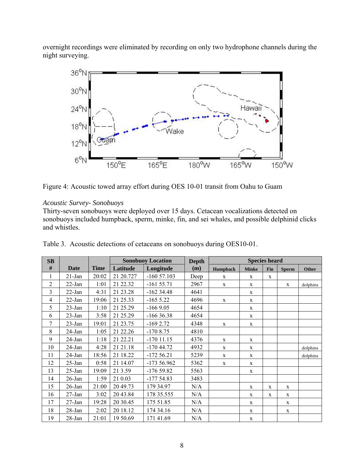overnight recordings were eliminated by recording on only two hydrophone channels during the night surveying.



Figure 4: Acoustic towed array effort during OES 10-01 transit from Oahu to Guam

## *Acoustic Survey- Sonobuoys*

Thirty-seven sonobuoys were deployed over 15 days. Cetacean vocalizations detected on sonobuoys included humpback, sperm, minke, fin, and sei whales, and possible delphinid clicks and whistles.

| SB             |            |             |           | <b>Sonobuoy Location</b> | <b>Depth</b> |              | <b>Species heard</b> |     |              |              |
|----------------|------------|-------------|-----------|--------------------------|--------------|--------------|----------------------|-----|--------------|--------------|
| $\#$           | Date       | <b>Time</b> | Latitude  | Longitude                | (m)          | Humpback     | <b>Minke</b>         | Fin | <b>Sperm</b> | <b>Other</b> |
| $\mathbf{1}$   | $21$ -Jan  | 20:02       | 21 20.727 | $-16057.103$             | Deep         | $\mathbf x$  | $\mathbf X$          | X   |              |              |
| $\overline{2}$ | $22$ -Jan  | 1:01        | 21 22.32  | $-16155.71$              | 2967         | $\mathbf{X}$ | X                    |     | $\mathbf x$  | dolphins     |
| 3              | $22$ -Jan  | 4:31        | 21 23 28  | $-16234.48$              | 4641         |              | X                    |     |              |              |
| $\overline{4}$ | $22$ -Jan  | 19:06       | 21 25.33  | $-1655.22$               | 4696         | $\mathbf X$  | $\mathbf X$          |     |              |              |
| 5              | $23$ -Jan  | 1:10        | 21 25.29  | $-1669.05$               | 4654         |              | $\mathbf X$          |     |              |              |
| 6              | $23$ -Jan  | 3:58        | 21 25.29  | $-16636.38$              | 4654         |              | X                    |     |              |              |
| 7              | $23$ -Jan  | 19:01       | 21 23.75  | $-1692.72$               | 4348         | $\mathbf X$  | X                    |     |              |              |
| 8              | $24$ -Jan  | 1:05        | 21 22.26  | $-1708.75$               | 4810         |              |                      |     |              |              |
| 9              | 24-Jan     | 1:18        | 21 22.21  | $-170$ 11.15             | 4376         | $\mathbf{X}$ | $\mathbf X$          |     |              |              |
| 10             | $24$ -Jan  | 4:28        | 21 21 18  | $-17044.72$              | 4932         | $\mathbf X$  | X                    |     |              | dolphins     |
| 11             | 24-Jan     | 18:56       | 21 18.22  | $-17256.21$              | 5239         | $\mathbf{X}$ | X                    |     |              | dolphins     |
| 12             | $25$ -Jan  | 0:58        | 21 14.07  | $-17356.962$             | 5362         | $\mathbf X$  | $\mathbf X$          |     |              |              |
| 13             | $25$ -Jan  | 19:09       | 21 3.59   | $-17659.82$              | 5563         |              | X                    |     |              |              |
| 14             | $26$ -Jan  | 1:59        | 21 0.03   | $-17754.83$              | 3483         |              |                      |     |              |              |
| 15             | $26$ -Jan  | 21:00       | 20 49.73  | 179 34.97                | N/A          |              | X                    | X   | X            |              |
| 16             | $27 - Jan$ | 3:02        | 20 43.84  | 178 35.555               | N/A          |              | X                    | X   | $\mathbf{X}$ |              |
| 17             | $27$ -Jan  | 19:28       | 20 30.45  | 175 51.85                | N/A          |              | X                    |     | $\mathbf{X}$ |              |
| 18             | 28-Jan     | 2:02        | 20 18.12  | 174 34.16                | N/A          |              | $\mathbf X$          |     | X            |              |
| 19             | 28-Jan     | 21:01       | 19 50.69  | 171 41.69                | N/A          |              | $\mathbf X$          |     |              |              |

Table 3. Acoustic detections of cetaceans on sonobuoys during OES10-01.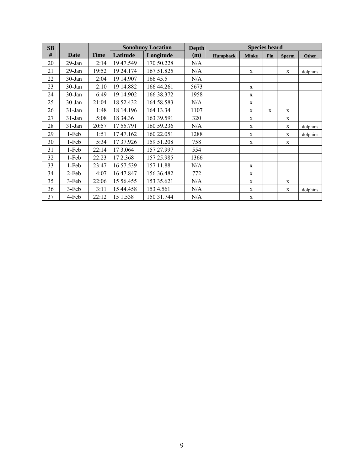| SB   |             |             |           | <b>Species heard</b><br><b>Sonobuoy Location</b><br><b>Depth</b> |      |                 |              |     |              |              |
|------|-------------|-------------|-----------|------------------------------------------------------------------|------|-----------------|--------------|-----|--------------|--------------|
| $\#$ | <b>Date</b> | <b>Time</b> | Latitude  | Longitude                                                        | (m)  | <b>Humpback</b> | <b>Minke</b> | Fin | <b>Sperm</b> | <b>Other</b> |
| 20   | $29$ -Jan   | 2:14        | 19 47.549 | 170 50.228                                                       | N/A  |                 |              |     |              |              |
| 21   | $29$ -Jan   | 19:52       | 19 24.174 | 167 51.825                                                       | N/A  |                 | X            |     | $\mathbf{X}$ | dolphins     |
| 22   | $30 - Jan$  | 2:04        | 19 14.907 | 166 45.5                                                         | N/A  |                 |              |     |              |              |
| 23   | $30 - Jan$  | 2:10        | 19 14.882 | 166 44.261                                                       | 5673 |                 | X            |     |              |              |
| 24   | 30-Jan      | 6:49        | 19 14.902 | 166 38.372                                                       | 1958 |                 | X            |     |              |              |
| 25   | $30$ -Jan   | 21:04       | 18 52.432 | 164 58.583                                                       | N/A  |                 | X            |     |              |              |
| 26   | $31-Jan$    | 1:48        | 18 14.196 | 164 13.34                                                        | 1107 |                 | X            | X   | X            |              |
| 27   | $31-Jan$    | 5:08        | 18 34.36  | 163 39.591                                                       | 320  |                 | X            |     | X            |              |
| 28   | $31-Jan$    | 20:57       | 17 55.791 | 160 59.236                                                       | N/A  |                 | $\mathbf{X}$ |     | X            | dolphins     |
| 29   | 1-Feb       | 1:51        | 17 47.162 | 160 22.051                                                       | 1288 |                 | $\mathbf X$  |     | X            | dolphins     |
| 30   | 1-Feb       | 5:34        | 17 37.926 | 159 51.208                                                       | 758  |                 | X            |     | X            |              |
| 31   | 1-Feb       | 22:14       | 17 3.064  | 157 27.997                                                       | 554  |                 |              |     |              |              |
| 32   | 1-Feb       | 22:23       | 172.368   | 157 25.985                                                       | 1366 |                 |              |     |              |              |
| 33   | 1-Feb       | 23:47       | 16 57.539 | 157 11.88                                                        | N/A  |                 | X            |     |              |              |
| 34   | 2-Feb       | 4:07        | 16 47.847 | 156 36.482                                                       | 772  |                 | X            |     |              |              |
| 35   | $3-Feb$     | 22:06       | 15 56.455 | 153 35.621                                                       | N/A  |                 | X            |     | $\mathbf{X}$ |              |
| 36   | 3-Feb       | 3:11        | 15 44.458 | 153 4.561                                                        | N/A  |                 | $\mathbf X$  |     | $\mathbf X$  | dolphins     |
| 37   | 4-Feb       | 22:12       | 15 1.538  | 150 31.744                                                       | N/A  |                 | X            |     |              |              |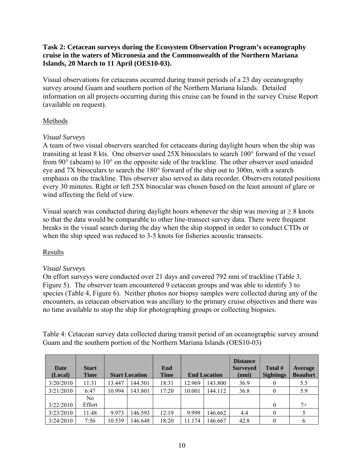# **Task 2: Cetacean surveys during the Ecosystem Observation Program's oceanography cruise in the waters of Micronesia and the Commonwealth of the Northern Mariana Islands, 20 March to 11 April (OES10-03).**

Visual observations for cetaceans occurred during transit periods of a 23 day oceanography survey around Guam and southern portion of the Northern Mariana Islands. Detailed information on all projects occurring during this cruise can be found in the survey Cruise Report (available on request).

# Methods

# *Visual Surveys*

A team of two visual observers searched for cetaceans during daylight hours when the ship was transiting at least 8 kts. One observer used 25X binoculars to search 100° forward of the vessel from 90° (abeam) to 10° on the opposite side of the trackline. The other observer used unaided eye and 7X binoculars to search the 180° forward of the ship out to 300m, with a search emphasis on the trackline. This observer also served as data recorder. Observers rotated positions every 30 minutes. Right or left 25X binocular was chosen based on the least amount of glare or wind affecting the field of view.

Visual search was conducted during daylight hours whenever the ship was moving at  $\geq 8$  knots so that the data would be comparable to other line-transect survey data. There were frequent breaks in the visual search during the day when the ship stopped in order to conduct CTDs or when the ship speed was reduced to 3-5 knots for fisheries acoustic transects.

# Results

# *Visual Surveys*

On effort surveys were conducted over 21 days and covered 792 nmi of trackline (Table 3, Figure 5). The observer team encountered 9 cetacean groups and was able to identify 3 to species (Table 4, Figure 6). Neither photos nor biopsy samples were collected during any of the encounters, as cetacean observation was ancillary to the primary cruise objectives and there was no time available to stop the ship for photographing groups or collecting biopsies.

Table 4: Cetacean survey data collected during transit period of an oceanographic survey around Guam and the southern portion of the Northern Mariana Islands (OES10-03)

| <b>Date</b> | <b>Start</b> |        |                       | End         |        |                     | <b>Distance</b><br><b>Surveyed</b> | Total #          | Average         |
|-------------|--------------|--------|-----------------------|-------------|--------|---------------------|------------------------------------|------------------|-----------------|
| (Local)     | <b>Time</b>  |        | <b>Start Location</b> | <b>Time</b> |        | <b>End Location</b> | (nmi)                              | <b>Sightings</b> | <b>Beaufort</b> |
| 3/20/2010   | 11:31        | 13.447 | 144.501               | 18:31       | 12.969 | 143.800             | 36.9                               | $\theta$         | 5.5             |
| 3/21/2010   | 6:47         | 10.994 | 143.801               | 17:20       | 10.001 | 144.112             | 36.8                               | 0                | 5.9             |
|             | No           |        |                       |             |        |                     |                                    |                  |                 |
| 3/22/2010   | Effort       |        |                       |             |        |                     |                                    | $\theta$         | $7+$            |
| 3/23/2010   | 11:48        | 9.973  | 146.593               | 12:19       | 9.999  | 146.662             | 4.4                                | $\theta$         |                 |
| 3/24/2010   | 7:56         | 10.539 | 146.648               | 18:20       | 11.174 | 146.667             | 42.8                               | 0                | <sub>(</sub>    |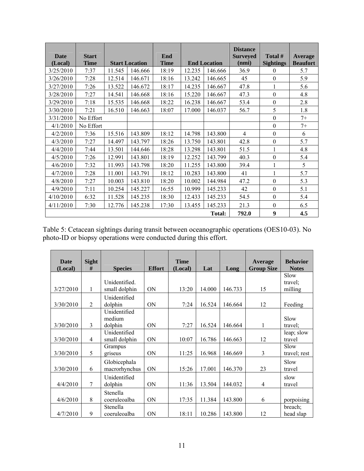| <b>Date</b><br>(Local) | <b>Start</b><br><b>Time</b> |        | <b>Start Location</b> | End<br><b>Time</b> | <b>End Location</b> |               | <b>Distance</b><br><b>Surveyed</b><br>(nmi) | Total #<br><b>Sightings</b> | Average<br><b>Beaufort</b> |
|------------------------|-----------------------------|--------|-----------------------|--------------------|---------------------|---------------|---------------------------------------------|-----------------------------|----------------------------|
| 3/25/2010              | 7:37                        | 11.545 | 146.666               | 18:19              | 12.235              | 146.666       | 36.9                                        | $\theta$                    | 5.7                        |
| 3/26/2010              | 7:28                        | 12.514 | 146.671               | 18:16              | 13.242              | 146.665       | 45                                          | $\theta$                    | 5.9                        |
| 3/27/2010              | 7:26                        | 13.522 | 146.672               | 18:17              | 14.235              | 146.667       | 47.8                                        | 1                           | 5.6                        |
| 3/28/2010              | 7:27                        | 14.541 | 146.668               | 18:16              | 15.220              | 146.667       | 47.3                                        | $\theta$                    | 4.8                        |
| 3/29/2010              | 7:18                        | 15.535 | 146.668               | 18:22              | 16.238              | 146.667       | 53.4                                        | $\theta$                    | 2.8                        |
| 3/30/2010              | 7:21                        | 16.510 | 146.663               | 18:07              | 17.000              | 146.037       | 56.7                                        | 5                           | 1.8                        |
| 3/31/2010              | No Effort                   |        |                       |                    |                     |               |                                             | $\mathbf{0}$                | $7+$                       |
| 4/1/2010               | No Effort                   |        |                       |                    |                     |               |                                             | $\theta$                    | $7+$                       |
| 4/2/2010               | 7:36                        | 15.516 | 143.809               | 18:12              | 14.798              | 143.800       | $\overline{4}$                              | $\theta$                    | 6                          |
| 4/3/2010               | 7:27                        | 14.497 | 143.797               | 18:26              | 13.750              | 143.801       | 42.8                                        | $\theta$                    | 5.7                        |
| 4/4/2010               | 7:44                        | 13.501 | 144.646               | 18:28              | 13.298              | 143.801       | 51.5                                        |                             | 4.8                        |
| 4/5/2010               | 7:26                        | 12.991 | 143.801               | 18:19              | 12.252              | 143.799       | 40.3                                        | $\theta$                    | 5.4                        |
| 4/6/2010               | 7:32                        | 11.993 | 143.798               | 18:20              | 11.255              | 143.800       | 39.4                                        | $\mathbf{1}$                | 5                          |
| 4/7/2010               | 7:28                        | 11.001 | 143.791               | 18:12              | 10.283              | 143.800       | 41                                          | 1                           | 5.7                        |
| 4/8/2010               | 7:27                        | 10.003 | 143.810               | 18:20              | 10.002              | 144.984       | 47.2                                        | $\theta$                    | 5.3                        |
| 4/9/2010               | 7:11                        | 10.254 | 145.227               | 16:55              | 10.999              | 145.233       | 42                                          | $\mathbf{0}$                | 5.1                        |
| 4/10/2010              | 6:32                        | 11.528 | 145.235               | 18:30              | 12.433              | 145.233       | 54.5                                        | $\theta$                    | 5.4                        |
| 4/11/2010              | 7:30                        | 12.776 | 145.238               | 17:30              | 13.455              | 145.233       | 21.3                                        | $\Omega$                    | 6.5                        |
|                        |                             |        |                       |                    |                     | <b>Total:</b> | 792.0                                       | 9                           | 4.5                        |

Table 5: Cetacean sightings during transit between oceanographic operations (OES10-03). No photo-ID or biopsy operations were conducted during this effort.

| <b>Date</b><br>(Local) | <b>Sight</b><br># | <b>Species</b>                | <b>Effort</b>  | <b>Time</b><br>(Local) | Lat    | Long    | Average<br><b>Group Size</b> | <b>Behavior</b><br><b>Notes</b> |
|------------------------|-------------------|-------------------------------|----------------|------------------------|--------|---------|------------------------------|---------------------------------|
|                        |                   |                               |                |                        |        |         |                              | Slow                            |
|                        |                   | Unidentified.                 |                |                        |        |         |                              | travel:                         |
| 3/27/2010              | $\mathbf{1}$      | small dolphin                 | <b>ON</b>      | 13:20                  | 14.000 | 146.733 | 15                           | milling                         |
| 3/30/2010              | 2                 | Unidentified                  | <b>ON</b>      | 7:24                   | 16.524 | 146.664 | 12                           |                                 |
|                        |                   | dolphin<br>Unidentified       |                |                        |        |         |                              | Feeding                         |
|                        |                   | medium                        |                |                        |        |         |                              | Slow                            |
| 3/30/2010              | $\mathcal{E}$     | dolphin                       | <b>ON</b>      | 7:27                   | 16.524 | 146.664 | $\mathbf{1}$                 | travel;                         |
| 3/30/2010              | $\overline{4}$    | Unidentified<br>small dolphin | ON             | 10:07                  | 16.786 | 146.663 | 12                           | leap; slow<br>travel            |
| 3/30/2010              | 5                 | Grampus<br>griseus            | <b>ON</b>      | 11:25                  | 16.968 | 146.669 | 3                            | Slow<br>travel; rest            |
| 3/30/2010              | 6                 | Globicephala<br>macrorhynchus | <b>ON</b>      | 15:26                  | 17.001 | 146.370 | 23                           | Slow<br>travel                  |
| 4/4/2010               | $\tau$            | Unidentified<br>dolphin       | <b>ON</b>      | 11:36                  | 13.504 | 144.032 | 4                            | slow<br>travel                  |
| 4/6/2010               | 8                 | Stenella<br>coeruleoalba      | <b>ON</b>      | 17:35                  | 11.384 | 143.800 | 6                            | porpoising                      |
| 4/7/2010               | 9                 | Stenella<br>coeruleoalba      | 0 <sub>N</sub> | 18:11                  | 10.286 | 143.800 | 12                           | breach:<br>head slap            |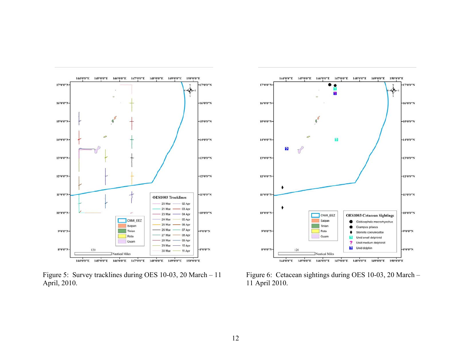

Figure 5: Survey tracklines during OES 10-03, 20 March – 11 April, 2010.



Figure 6: Cetacean sightings during OES 10-03, 20 March – 11 April 2010.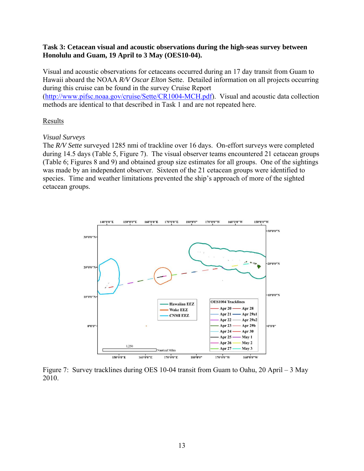### **Task 3: Cetacean visual and acoustic observations during the high-seas survey between Honolulu and Guam, 19 April to 3 May (OES10-04).**

Visual and acoustic observations for cetaceans occurred during an 17 day transit from Guam to Hawaii aboard the NOAA *R/V Oscar Elton* Sette. Detailed information on all projects occurring during this cruise can be found in the survey Cruise Report

(http://www.pifsc.noaa.gov/cruise/Sette/CR1004-MCH.pdf). Visual and acoustic data collection methods are identical to that described in Task 1 and are not repeated here.

## Results

### *Visual Surveys*

The *R/V Sette* surveyed 1285 nmi of trackline over 16 days. On-effort surveys were completed during 14.5 days (Table 5, Figure 7). The visual observer teams encountered 21 cetacean groups (Table 6; Figures 8 and 9) and obtained group size estimates for all groups. One of the sightings was made by an independent observer. Sixteen of the 21 cetacean groups were identified to species. Time and weather limitations prevented the ship's approach of more of the sighted cetacean groups.



Figure 7: Survey tracklines during OES 10-04 transit from Guam to Oahu, 20 April – 3 May 2010.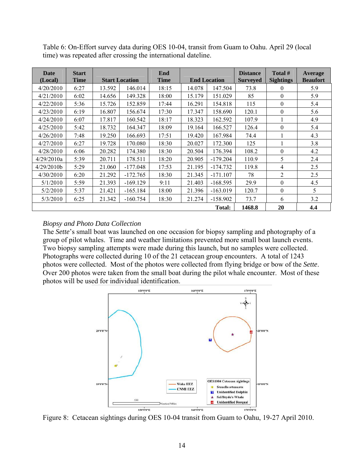| Date<br>(Local) | <b>Start</b><br><b>Time</b> |        | <b>Start Location</b> | End<br><b>Time</b> |        | <b>End Location</b> | <b>Distance</b><br><b>Surveyed</b> | Total #<br><b>Sightings</b> | <b>Average</b><br><b>Beaufort</b> |
|-----------------|-----------------------------|--------|-----------------------|--------------------|--------|---------------------|------------------------------------|-----------------------------|-----------------------------------|
| 4/20/2010       | 6:27                        | 13.592 | 146.014               | 18:15              | 14.078 | 147.504             | 73.8                               | $\theta$                    | 5.9                               |
| 4/21/2010       | 6:02                        | 14.656 | 149.328               | 18:00              | 15.179 | 151.029             | 85                                 | $\theta$                    | 5.9                               |
| 4/22/2010       | 5:36                        | 15.726 | 152.859               | 17:44              | 16.291 | 154.818             | 115                                | $\theta$                    | 5.4                               |
| 4/23/2010       | 6:19                        | 16.807 | 156.674               | 17:30              | 17.347 | 158.690             | 120.1                              | $\theta$                    | 5.6                               |
| 4/24/2010       | 6:07                        | 17.817 | 160.542               | 18:17              | 18.323 | 162.592             | 107.9                              |                             | 4.9                               |
| 4/25/2010       | 5:42                        | 18.732 | 164.347               | 18:09              | 19.164 | 166.527             | 126.4                              | $\theta$                    | 5.4                               |
| 4/26/2010       | 7:48                        | 19.250 | 166.693               | 17:51              | 19.420 | 167.984             | 74.4                               |                             | 4.3                               |
| 4/27/2010       | 6:27                        | 19.728 | 170.080               | 18:30              | 20.027 | 172.300             | 125                                |                             | 3.8                               |
| 4/28/2010       | 6:06                        | 20.282 | 174.380               | 18:30              | 20.504 | 176.394             | 108.2                              | $\theta$                    | 4.2                               |
| 4/29/2010a      | 5:39                        | 20.711 | 178.511               | 18:20              | 20.905 | $-179.204$          | 110.9                              | 5                           | 2.4                               |
| 4/29/2010b      | 5:29                        | 21.060 | $-177.048$            | 17:53              | 21.195 | $-174.732$          | 119.8                              | 4                           | 2.5                               |
| 4/30/2010       | 6:20                        | 21.292 | $-172.765$            | 18:30              | 21.345 | $-171.107$          | 78                                 | $\overline{2}$              | 2.5                               |
| 5/1/2010        | 5:59                        | 21.393 | $-169.129$            | 9:11               | 21.403 | $-168.595$          | 29.9                               | $\theta$                    | 4.5                               |
| 5/2/2010        | 5:37                        | 21.421 | $-165.184$            | 18:00              | 21.396 | $-163.019$          | 120.7                              | $\theta$                    | 5                                 |
| 5/3/2010        | 6:25                        | 21.342 | $-160.754$            | 18:30              | 21.274 | $-158.902$          | 73.7                               | 6                           | 3.2                               |
|                 |                             |        |                       |                    |        | <b>Total:</b>       | 1468.8                             | 20                          | 4,4                               |

Table 6: On-Effort survey data during OES 10-04, transit from Guam to Oahu. April 29 (local time) was repeated after crossing the international dateline.

## *Biopsy and Photo Data Collection*

The *Sette*'s small boat was launched on one occasion for biopsy sampling and photography of a group of pilot whales. Time and weather limitations prevented more small boat launch events. Two biopsy sampling attempts were made during this launch, but no samples were collected. Photographs were collected during 10 of the 21 cetacean group encounters. A total of 1243 photos were collected. Most of the photos were collected from flying bridge or bow of the *Sette*. Over 200 photos were taken from the small boat during the pilot whale encounter. Most of these photos will be used for individual identification.



Figure 8: Cetacean sightings during OES 10-04 transit from Guam to Oahu, 19-27 April 2010.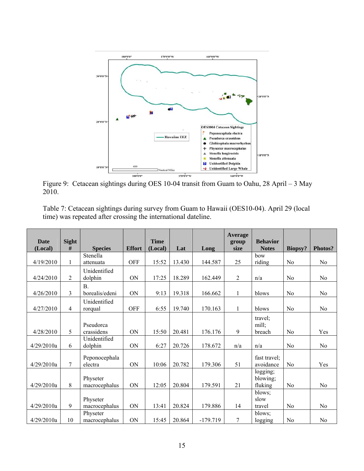

Figure 9: Cetacean sightings during OES 10-04 transit from Guam to Oahu, 28 April – 3 May 2010.

|                                                               |  | Table 7: Cetacean sightings during survey from Guam to Hawaii (OES10-04). April 29 (local |
|---------------------------------------------------------------|--|-------------------------------------------------------------------------------------------|
| time) was repeated after crossing the international dateline. |  |                                                                                           |

|                        |                   |                |               |                        |        |            | <b>Average</b> |                                 |                |                |
|------------------------|-------------------|----------------|---------------|------------------------|--------|------------|----------------|---------------------------------|----------------|----------------|
| <b>Date</b><br>(Local) | <b>Sight</b><br># | <b>Species</b> | <b>Effort</b> | <b>Time</b><br>(Local) | Lat    | Long       | group<br>size  | <b>Behavior</b><br><b>Notes</b> | Biopsy?        | Photos?        |
|                        |                   | Stenella       |               |                        |        |            |                | how                             |                |                |
| 4/19/2010              | $\mathbf{1}$      | attenuata      | <b>OFF</b>    | 15:52                  | 13.430 | 144.587    | 25             | riding                          | No             | N <sub>0</sub> |
|                        |                   | Unidentified   |               |                        |        |            |                |                                 |                |                |
| 4/24/2010              | 2                 | dolphin        | <b>ON</b>     | 17:25                  | 18.289 | 162.449    | 2              | n/a                             | N <sub>0</sub> | N <sub>0</sub> |
|                        |                   | $\mathbf{B}$ . |               |                        |        |            |                |                                 |                |                |
| 4/26/2010              | 3                 | borealis/edeni | <b>ON</b>     | 9:13                   | 19.318 | 166.662    | 1              | blows                           | N <sub>0</sub> | N <sub>0</sub> |
|                        |                   | Unidentified   |               |                        |        |            |                |                                 |                |                |
| 4/27/2010              | $\overline{4}$    | rorqual        | <b>OFF</b>    | 6:55                   | 19.740 | 170.163    | 1              | blows                           | N <sub>0</sub> | N <sub>0</sub> |
|                        |                   |                |               |                        |        |            |                | travel;                         |                |                |
|                        |                   | Pseudorca      |               |                        |        |            |                | mill;                           |                |                |
| 4/28/2010              | 5                 | crassidens     | <b>ON</b>     | 15:50                  | 20.481 | 176.176    | 9              | breach                          | No             | Yes            |
|                        |                   | Unidentified   |               |                        |        |            |                |                                 |                |                |
| 4/29/2010a             | 6                 | dolphin        | ON            | 6:27                   | 20.726 | 178.672    | n/a            | n/a                             | No             | N <sub>0</sub> |
|                        |                   | Peponocephala  |               |                        |        |            |                | fast travel;                    |                |                |
| 4/29/2010a             | 7                 | electra        | <b>ON</b>     | 10:06                  | 20.782 | 179.306    | 51             | avoidance                       | No             | Yes            |
|                        |                   |                |               |                        |        |            |                | logging;                        |                |                |
|                        |                   | Physeter       |               |                        |        |            |                | blowing;                        |                |                |
| 4/29/2010a             | 8                 | macrocephalus  | <b>ON</b>     | 12:05                  | 20.804 | 179.591    | 21             | fluking                         | N <sub>0</sub> | N <sub>0</sub> |
|                        |                   |                |               |                        |        |            |                | blows;                          |                |                |
|                        |                   | Physeter       |               |                        |        |            |                | slow                            |                |                |
| 4/29/2010a             | 9                 | macrocephalus  | ON            | 13:41                  | 20.824 | 179.886    | 14             | travel                          | N <sub>0</sub> | N <sub>0</sub> |
|                        |                   | Physeter       |               |                        |        |            |                | blows;                          |                |                |
| 4/29/2010a             | 10                | macrocephalus  | ON            | 15:45                  | 20.864 | $-179.719$ | 7              | logging                         | No             | N <sub>0</sub> |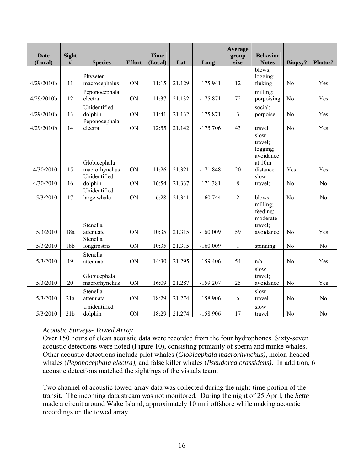| <b>Date</b> | <b>Sight</b><br>$\#$ | <b>Species</b>                | <b>Effort</b> | <b>Time</b> |        |            | <b>Average</b><br>group<br>size | <b>Behavior</b>                                    |                | Photos?        |
|-------------|----------------------|-------------------------------|---------------|-------------|--------|------------|---------------------------------|----------------------------------------------------|----------------|----------------|
| (Local)     |                      |                               |               | (Local)     | Lat    | Long       |                                 | <b>Notes</b>                                       | <b>Biopsy?</b> |                |
| 4/29/2010b  | 11                   | Physeter<br>macrocephalus     | ON            | 11:15       | 21.129 | $-175.941$ | 12                              | blows;<br>logging;<br>fluking                      | No             | Yes            |
| 4/29/2010b  | 12                   | Peponocephala<br>electra      | ON            | 11:37       | 21.132 | $-175.871$ | 72                              | milling;<br>porpoising                             | No             | Yes            |
| 4/29/2010b  | 13                   | Unidentified<br>dolphin       | ON            | 11:41       | 21.132 | $-175.871$ | $\mathfrak{Z}$                  | social;<br>porpoise                                | No             | Yes            |
| 4/29/2010b  | 14                   | Peponocephala<br>electra      | ON            | 12:55       | 21.142 | $-175.706$ | 43                              | travel                                             | No             | Yes            |
|             |                      | Globicephala                  |               |             |        |            |                                 | slow<br>travel;<br>logging;<br>avoidance<br>at 10m |                |                |
| 4/30/2010   | 15                   | macrorhynchus                 | ON            | 11:26       | 21.321 | $-171.848$ | 20                              | distance                                           | Yes            | Yes            |
| 4/30/2010   | 16                   | Unidentified<br>dolphin       | ON            | 16:54       | 21.337 | $-171.381$ | $\,8\,$                         | slow<br>travel;                                    | No             | No             |
| 5/3/2010    | 17                   | Unidentified<br>large whale   | ON            | 6:28        | 21.341 | $-160.744$ | $\sqrt{2}$                      | blows                                              | No             | N <sub>o</sub> |
|             |                      | Stenella                      |               |             |        |            |                                 | milling;<br>feeding;<br>moderate<br>travel;        |                |                |
| 5/3/2010    | 18a                  | attenuate                     | ON            | 10:35       | 21.315 | $-160.009$ | 59                              | avoidance                                          | No             | Yes            |
| 5/3/2010    | 18b                  | Stenella<br>longirostris      | ON            | 10:35       | 21.315 | $-160.009$ | $\mathbf{1}$                    | spinning                                           | No             | No             |
| 5/3/2010    | 19                   | Stenella<br>attenuata         | ON            | 14:30       | 21.295 | $-159.406$ | 54                              | n/a                                                | No             | Yes            |
| 5/3/2010    | 20                   | Globicephala<br>macrorhynchus | ON            | 16:09       | 21.287 | $-159.207$ | 25                              | slow<br>travel;<br>avoidance                       | No             | Yes            |
| 5/3/2010    | 21a                  | Stenella<br>attenuata         | ON            | 18:29       | 21.274 | $-158.906$ | $\sqrt{6}$                      | slow<br>travel                                     | N <sub>o</sub> | No             |
| 5/3/2010    | 21 <sub>b</sub>      | Unidentified<br>dolphin       | ON            | 18:29       | 21.274 | $-158.906$ | 17                              | slow<br>travel                                     | N <sub>0</sub> | N <sub>o</sub> |

# *Acoustic Surveys- Towed Array*

Over 150 hours of clean acoustic data were recorded from the four hydrophones. Sixty-seven acoustic detections were noted (Figure 10), consisting primarily of sperm and minke whales. Other acoustic detections include pilot whales (*Globicephala macrorhynchus)*, melon-headed whales (*Peponocephala electra),* and false killer whales (*Pseudorca crassidens)*. In addition, 6 acoustic detections matched the sightings of the visuals team.

Two channel of acoustic towed-array data was collected during the night-time portion of the transit. The incoming data stream was not monitored. During the night of 25 April, the *Sette* made a circuit around Wake Island, approximately 10 nmi offshore while making acoustic recordings on the towed array.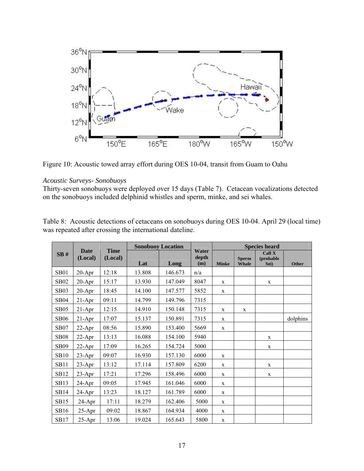

Figure 10: Acoustic towed array effort during OES 10-04, transit from Guam to Oahu

### *Acoustic Surveys- Sonobuoys*

Thirty-seven sonobuoys were deployed over 15 days (Table 7). Cetacean vocalizations detected on the sonobuoys included delphinid whistles and sperm, minke, and sei whales.

|             |                        |                        |        | <b>Sonobuoy Location</b> |                       |              |                              | <b>Species heard</b>         |          |
|-------------|------------------------|------------------------|--------|--------------------------|-----------------------|--------------|------------------------------|------------------------------|----------|
| SB#         | <b>Date</b><br>(Local) | <b>Time</b><br>(Local) | Lat    | Long                     | Water<br>depth<br>(m) | <b>Minke</b> | <b>Sperm</b><br><b>Whale</b> | Call X<br>(probable)<br>Sei) | Other    |
| <b>SB01</b> | $20 - Apr$             | 12:18                  | 13.808 | 146.673                  | n/a                   |              |                              |                              |          |
| <b>SB02</b> | $20 - Apr$             | 15:17                  | 13.930 | 147.049                  | 8047                  | X            |                              | X                            |          |
| <b>SB03</b> | $20-Apr$               | 18:45                  | 14.100 | 147.577                  | 5852                  | $\mathbf X$  |                              |                              |          |
| <b>SB04</b> | $21-Apr$               | 09:11                  | 14.799 | 149.796                  | 7315                  |              |                              |                              |          |
| <b>SB05</b> | $21-Apr$               | 12:15                  | 14.910 | 150.148                  | 7315                  | $\mathbf X$  | $\mathbf X$                  |                              |          |
| <b>SB06</b> | $21-Apr$               | 17:07                  | 15.137 | 150.891                  | 7315                  | $\mathbf X$  |                              |                              | dolphins |
| <b>SB07</b> | $22-Apr$               | 08:56                  | 15.890 | 153.400                  | 5669                  | X            |                              |                              |          |
| <b>SB08</b> | $22$ -Apr              | 13:13                  | 16.088 | 154.100                  | 5940                  |              |                              | $\mathbf{X}$                 |          |
| <b>SB09</b> | $22$ -Apr              | 17:09                  | 16.265 | 154.724                  | 5000                  |              |                              | $\mathbf X$                  |          |
| <b>SB10</b> | $23$ -Apr              | 09:07                  | 16.930 | 157.130                  | 6000                  | $\mathbf X$  |                              |                              |          |
| <b>SB11</b> | $23$ -Apr              | 13:12                  | 17.114 | 157.809                  | 6200                  | X            |                              | X                            |          |
| <b>SB12</b> | $23-Apr$               | 17:21                  | 17.296 | 158.496                  | 6000                  | X            |                              | $\mathbf X$                  |          |
| SB13        | $24-Apr$               | 09:05                  | 17.945 | 161.046                  | 6000                  | $\mathbf X$  |                              |                              |          |
| <b>SB14</b> | 24-Apr                 | 13:23                  | 18.127 | 161.789                  | 6000                  | X            |                              |                              |          |
| <b>SB15</b> | $24$ -Apr              | 17:11                  | 18.279 | 162.406                  | 5000                  | $\mathbf X$  |                              |                              |          |
| SB16        | $25$ -Apr              | 09:02                  | 18.867 | 164.934                  | 4000                  | X            |                              |                              |          |
| <b>SB17</b> | $25-Apr$               | 13:06                  | 19.024 | 165.643                  | 5800                  | $\mathbf X$  |                              |                              |          |

Table 8: Acoustic detections of cetaceans on sonobuoys during OES 10-04. April 29 (local time) was repeated after crossing the international dateline.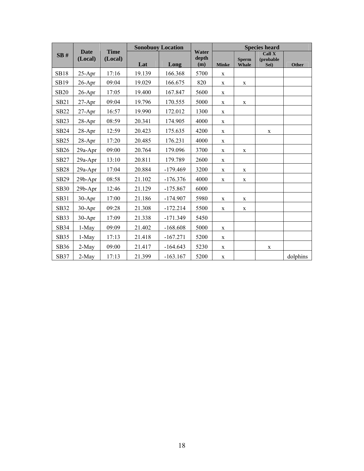|             |                        |                        |        | <b>Sonobuoy Location</b> |                       |              |                              | <b>Species heard</b>                     |              |
|-------------|------------------------|------------------------|--------|--------------------------|-----------------------|--------------|------------------------------|------------------------------------------|--------------|
| SB#         | <b>Date</b><br>(Local) | <b>Time</b><br>(Local) | Lat    | Long                     | Water<br>depth<br>(m) | <b>Minke</b> | <b>Sperm</b><br><b>Whale</b> | $\overline{Call} X$<br>(probable<br>Sei) | <b>Other</b> |
| <b>SB18</b> | $25-Apr$               | 17:16                  | 19.139 | 166.368                  | 5700                  | $\mathbf X$  |                              |                                          |              |
| SB19        | 26-Apr                 | 09:04                  | 19.029 | 166.675                  | 820                   | $\mathbf X$  | $\mathbf X$                  |                                          |              |
| <b>SB20</b> | $26$ -Apr              | 17:05                  | 19.400 | 167.847                  | 5600                  | $\mathbf X$  |                              |                                          |              |
| <b>SB21</b> | $27$ -Apr              | 09:04                  | 19.796 | 170.555                  | 5000                  | $\mathbf X$  | $\mathbf X$                  |                                          |              |
| <b>SB22</b> | $27-Apr$               | 16:57                  | 19.990 | 172.012                  | 1300                  | $\mathbf X$  |                              |                                          |              |
| <b>SB23</b> | 28-Apr                 | 08:59                  | 20.341 | 174.905                  | 4000                  | $\mathbf X$  |                              |                                          |              |
| <b>SB24</b> | $28$ -Apr              | 12:59                  | 20.423 | 175.635                  | 4200                  | $\mathbf X$  |                              | X                                        |              |
| <b>SB25</b> | $28-Apr$               | 17:20                  | 20.485 | 176.231                  | 4000                  | $\mathbf X$  |                              |                                          |              |
| SB26        | 29a-Apr                | 09:00                  | 20.764 | 179.096                  | 3700                  | $\mathbf X$  | $\mathbf X$                  |                                          |              |
| SB27        | 29a-Apr                | 13:10                  | 20.811 | 179.789                  | 2600                  | $\mathbf X$  |                              |                                          |              |
| <b>SB28</b> | 29a-Apr                | 17:04                  | 20.884 | $-179.469$               | 3200                  | $\mathbf X$  | $\mathbf X$                  |                                          |              |
| SB29        | 29b-Apr                | 08:58                  | 21.102 | $-176.376$               | 4000                  | $\mathbf X$  | $\mathbf X$                  |                                          |              |
| <b>SB30</b> | 29b-Apr                | 12:46                  | 21.129 | $-175.867$               | 6000                  |              |                              |                                          |              |
| SB31        | 30-Apr                 | 17:00                  | 21.186 | $-174.907$               | 5980                  | $\mathbf X$  | $\mathbf X$                  |                                          |              |
| <b>SB32</b> | 30-Apr                 | 09:28                  | 21.308 | $-172.214$               | 5500                  | $\mathbf X$  | $\mathbf X$                  |                                          |              |
| <b>SB33</b> | 30-Apr                 | 17:09                  | 21.338 | $-171.349$               | 5450                  |              |                              |                                          |              |
| SB34        | 1-May                  | 09:09                  | 21.402 | $-168.608$               | 5000                  | $\mathbf X$  |                              |                                          |              |
| <b>SB35</b> | 1-May                  | 17:13                  | 21.418 | $-167.271$               | 5200                  | $\mathbf X$  |                              |                                          |              |
| SB36        | 2-May                  | 09:00                  | 21.417 | $-164.643$               | 5230                  | $\mathbf X$  |                              | $\mathbf X$                              |              |
| <b>SB37</b> | 2-May                  | 17:13                  | 21.399 | $-163.167$               | 5200                  | $\mathbf X$  |                              |                                          | dolphins     |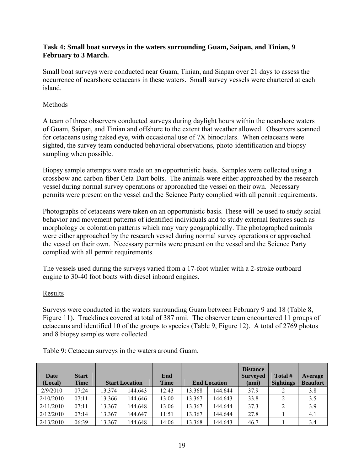## **Task 4: Small boat surveys in the waters surrounding Guam, Saipan, and Tinian, 9 February to 3 March.**

Small boat surveys were conducted near Guam, Tinian, and Siapan over 21 days to assess the occurrence of nearshore cetaceans in these waters. Small survey vessels were chartered at each island.

# Methods

A team of three observers conducted surveys during daylight hours within the nearshore waters of Guam, Saipan, and Tinian and offshore to the extent that weather allowed. Observers scanned for cetaceans using naked eye, with occasional use of 7X binoculars. When cetaceans were sighted, the survey team conducted behavioral observations, photo-identification and biopsy sampling when possible.

Biopsy sample attempts were made on an opportunistic basis. Samples were collected using a crossbow and carbon-fiber Ceta-Dart bolts. The animals were either approached by the research vessel during normal survey operations or approached the vessel on their own. Necessary permits were present on the vessel and the Science Party complied with all permit requirements.

Photographs of cetaceans were taken on an opportunistic basis. These will be used to study social behavior and movement patterns of identified individuals and to study external features such as morphology or coloration patterns which may vary geographically. The photographed animals were either approached by the research vessel during normal survey operations or approached the vessel on their own. Necessary permits were present on the vessel and the Science Party complied with all permit requirements.

The vessels used during the surveys varied from a 17-foot whaler with a 2-stroke outboard engine to 30-40 foot boats with diesel inboard engines.

# Results

Surveys were conducted in the waters surrounding Guam between February 9 and 18 (Table 8, Figure 11). Tracklines covered at total of 387 nmi. The observer team encountered 11 groups of cetaceans and identified 10 of the groups to species (Table 9, Figure 12). A total of 2769 photos and 8 biopsy samples were collected.

| Date      | <b>Start</b> |        |                       | End         |        |                                                  | <b>Distance</b><br><b>Surveyed</b> | Total #         | Average |
|-----------|--------------|--------|-----------------------|-------------|--------|--------------------------------------------------|------------------------------------|-----------------|---------|
| (Local)   | <b>Time</b>  |        | <b>Start Location</b> | <b>Time</b> |        | <b>End Location</b><br><b>Sightings</b><br>(nmi) |                                    | <b>Beaufort</b> |         |
| 2/9/2010  | 07:24        | 13.374 | 144.643               | 12:43       | 13.368 | 144.644                                          | 37.9                               |                 | 3.8     |
| 2/10/2010 | 07:11        | 13.366 | 144.646               | 13:00       | 13.367 | 144.643                                          | 33.8                               |                 | 3.5     |
| 2/11/2010 | 07:11        | 13.367 | 144.648               | 13:06       | 13.367 | 144.644                                          | 37.3                               | 2               | 3.9     |
| 2/12/2010 | 07:14        | 13.367 | 144.647               | 11:51       | 13.367 | 144.644                                          | 27.8                               |                 | 4.1     |
| 2/13/2010 | 06:39        | 13.367 | 144.648               | 14:06       | 13.368 | 144.643                                          | 46.7                               |                 | 3.4     |

Table 9: Cetacean surveys in the waters around Guam.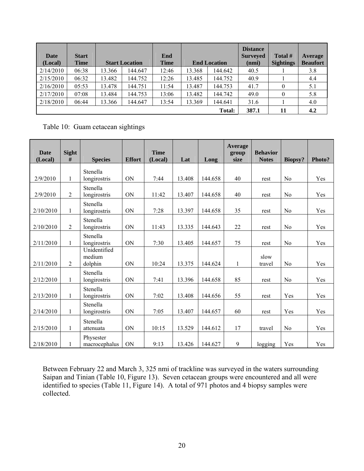| Date<br>(Local) | <b>Start</b><br><b>Time</b> |        | <b>Start Location</b> | End<br><b>Time</b> |        | <b>End Location</b> | <b>Distance</b><br><b>Surveyed</b><br>(nmi) | Total #<br><b>Sightings</b> | Average<br><b>Beaufort</b> |
|-----------------|-----------------------------|--------|-----------------------|--------------------|--------|---------------------|---------------------------------------------|-----------------------------|----------------------------|
| 2/14/2010       | 06:38                       | 13.366 | 144.647               | 12:46              | 13.368 | 144.642             | 40.5                                        |                             | 3.8                        |
| 2/15/2010       | 06:32                       | 13.482 | 144.752               | 12:26              | 13.485 | 144.752             | 40.9                                        |                             | 4.4                        |
| 2/16/2010       | 05:53                       | 13.478 | 144.751               | 11:54              | 13.487 | 144.753             | 41.7                                        | $\theta$                    | 5.1                        |
| 2/17/2010       | 07:08                       | 13.484 | 144.753               | 13:06              | 13.482 | 144.742             | 49.0                                        | $\theta$                    | 5.8                        |
| 2/18/2010       | 06:44                       | 13.366 | 144.647               | 13:54              | 13.369 | 144.641             | 31.6                                        |                             | 4.0                        |
|                 |                             |        |                       |                    |        | <b>Total:</b>       | 387.1                                       | 11                          | 4.2                        |

Table 10: Guam cetacean sightings

| <b>Date</b> | Sight          |                                   |               | <b>Time</b> |        |         | Average<br>group | <b>Behavior</b> |                |        |
|-------------|----------------|-----------------------------------|---------------|-------------|--------|---------|------------------|-----------------|----------------|--------|
| (Local)     | #              | <b>Species</b>                    | <b>Effort</b> | (Local)     | Lat    | Long    | size             | <b>Notes</b>    | <b>Biopsy?</b> | Photo? |
| 2/9/2010    | 1              | Stenella<br>longirostris          | <b>ON</b>     | 7:44        | 13.408 | 144.658 | 40               | rest            | N <sub>0</sub> | Yes    |
| 2/9/2010    | 2              | Stenella<br>longirostris          | ON            | 11:42       | 13.407 | 144.658 | 40               | rest            | N <sub>0</sub> | Yes    |
| 2/10/2010   | $\mathbf{1}$   | Stenella<br>longirostris          | ON            | 7:28        | 13.397 | 144.658 | 35               | rest            | N <sub>0</sub> | Yes    |
| 2/10/2010   | 2              | Stenella<br>longirostris          | ON            | 11:43       | 13.335 | 144.643 | 22               | rest            | N <sub>0</sub> | Yes    |
| 2/11/2010   | 1              | Stenella<br>longirostris          | ON            | 7:30        | 13.405 | 144.657 | 75               | rest            | N <sub>0</sub> | Yes    |
| 2/11/2010   | $\overline{2}$ | Unidentified<br>medium<br>dolphin | ON            | 10:24       | 13.375 | 144.624 | 1                | slow<br>travel  | N <sub>0</sub> | Yes    |
| 2/12/2010   | $\mathbf{1}$   | Stenella<br>longirostris          | ON            | 7:41        | 13.396 | 144.658 | 85               | rest            | N <sub>0</sub> | Yes    |
| 2/13/2010   | $\mathbf{1}$   | Stenella<br>longirostris          | ON            | 7:02        | 13.408 | 144.656 | 55               | rest            | Yes            | Yes    |
| 2/14/2010   | $\mathbf{1}$   | Stenella<br>longirostris          | ON            | 7:05        | 13.407 | 144.657 | 60               | rest            | Yes            | Yes    |
| 2/15/2010   | $\mathbf{1}$   | Stenella<br>attenuata             | ON            | 10:15       | 13.529 | 144.612 | 17               | travel          | N <sub>0</sub> | Yes    |
| 2/18/2010   | 1              | Physester<br>macrocephalus        | ON            | 9:13        | 13.426 | 144.627 | 9                | logging         | Yes            | Yes    |

Between February 22 and March 3, 325 nmi of trackline was surveyed in the waters surrounding Saipan and Tinian (Table 10, Figure 13). Seven cetacean groups were encountered and all were identified to species (Table 11, Figure 14). A total of 971 photos and 4 biopsy samples were collected.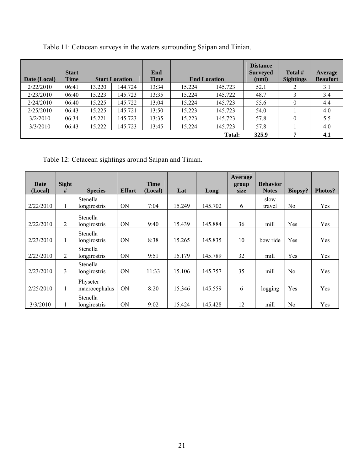| Date (Local) | <b>Start</b><br><b>Time</b> |        | <b>Start Location</b> | End<br><b>Time</b> |        | <b>End Location</b> | <b>Distance</b><br><b>Surveyed</b><br>(nmi) | Total #<br><b>Sightings</b> | <b>Average</b><br><b>Beaufort</b> |
|--------------|-----------------------------|--------|-----------------------|--------------------|--------|---------------------|---------------------------------------------|-----------------------------|-----------------------------------|
| 2/22/2010    | 06:41                       | 13.220 | 144.724               | 13:34              | 15.224 | 145.723             | 52.1                                        |                             | 3.1                               |
| 2/23/2010    | 06:40                       | 15.223 | 145.723               | 13:35              | 15.224 | 145.722             | 48.7                                        |                             | 3.4                               |
| 2/24/2010    | 06:40                       | 15.225 | 145.722               | 13:04              | 15.224 | 145.723             | 55.6                                        | $\theta$                    | 4.4                               |
| 2/25/2010    | 06:43                       | 15.225 | 145.721               | 13:50              | 15.223 | 145.723             | 54.0                                        |                             | 4.0                               |
| 3/2/2010     | 06:34                       | 15.221 | 145.723               | 13:35              | 15.223 | 145.723             | 57.8                                        | $\theta$                    | 5.5                               |
| 3/3/2010     | 06:43                       | 15.222 | 145.723               | 13:45              | 15.224 | 145.723             | 57.8                                        |                             | 4.0                               |
|              |                             |        |                       |                    |        | Total:              | 325.9                                       | п,                          | 4.1                               |

Table 11: Cetacean surveys in the waters surrounding Saipan and Tinian.

Table 12: Cetacean sightings around Saipan and Tinian.

| Date<br>(Local) | <b>Sight</b><br># | <b>Species</b>            | <b>Effort</b> | <b>Time</b><br>(Local) | Lat    | Long    | <b>Average</b><br>group<br>size | <b>Behavior</b><br><b>Notes</b> | <b>Biopsy?</b> | Photos? |
|-----------------|-------------------|---------------------------|---------------|------------------------|--------|---------|---------------------------------|---------------------------------|----------------|---------|
| 2/22/2010       | 1                 | Stenella<br>longirostris  | <b>ON</b>     | 7:04                   | 15.249 | 145.702 | 6                               | slow<br>travel                  | N <sub>0</sub> | Yes     |
| 2/22/2010       | $\overline{2}$    | Stenella<br>longirostris  | <b>ON</b>     | 9:40                   | 15.439 | 145.884 | 36                              | mill                            | Yes            | Yes     |
| 2/23/2010       | $\mathbf{1}$      | Stenella<br>longirostris  | <b>ON</b>     | 8:38                   | 15.265 | 145.835 | 10                              | bow ride                        | Yes            | Yes     |
| 2/23/2010       | $\overline{2}$    | Stenella<br>longirostris  | ON            | 9:51                   | 15.179 | 145.789 | 32                              | mill                            | Yes            | Yes     |
| 2/23/2010       | $\mathfrak{Z}$    | Stenella<br>longirostris  | <b>ON</b>     | 11:33                  | 15.106 | 145.757 | 35                              | mill                            | N <sub>0</sub> | Yes     |
| 2/25/2010       | $\mathbf{1}$      | Physeter<br>macrocephalus | <b>ON</b>     | 8:20                   | 15.346 | 145.559 | 6                               | logging                         | Yes            | Yes     |
| 3/3/2010        |                   | Stenella<br>longirostris  | <b>ON</b>     | 9:02                   | 15.424 | 145.428 | 12                              | mill                            | N <sub>0</sub> | Yes     |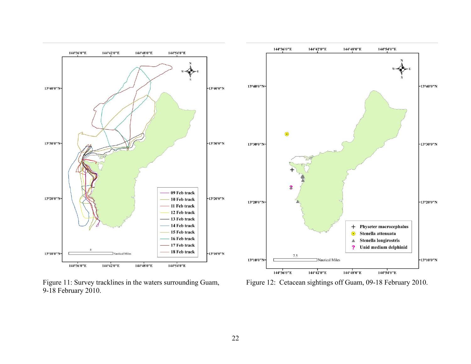

Figure 11: Survey tracklines in the waters surrounding Guam, 9-18 February 2010.

Figure 12: Cetacean sightings off Guam, 09-18 February 2010.